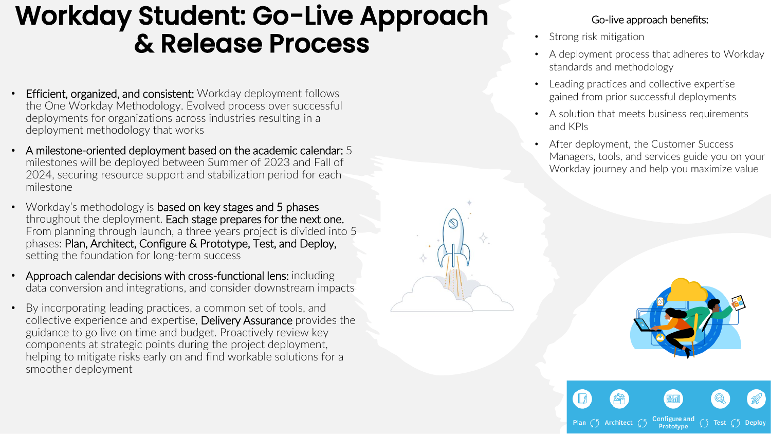## Workday Student: Go-Live Approach & Release Process

- **Efficient, organized, and consistent:** Workday deployment follows the One Workday Methodology. Evolved process over successful deployments for organizations across industries resulting in a deployment methodology that works
- A milestone-oriented deployment based on the academic calendar: 5 milestones will be deployed between Summer of 2023 and Fall of 2024, securing resource support and stabilization period for each milestone
- Workday's methodology is based on key stages and 5 phases throughout the deployment. Each stage prepares for the next one. From planning through launch, a three years project is divided into 5 phases: Plan, Architect, Configure & Prototype, Test, and Deploy, setting the foundation for long-term success
- Approach calendar decisions with cross-functional lens: including data conversion and integrations, and consider downstream impacts
- By incorporating leading practices, a common set of tools, and collective experience and expertise, Delivery Assurance provides the guidance to go live on time and budget. Proactively review key components at strategic points during the project deployment, helping to mitigate risks early on and find workable solutions for a smoother deployment

## Go-live approach benefits:

- Strong risk mitigation
- A deployment process that adheres to Workday standards and methodology
- Leading practices and collective expertise gained from prior successful deployments
- A solution that meets business requirements and KPIs
- After deployment, the Customer Success Managers, tools, and services guide you on your Workday journey and help you maximize value